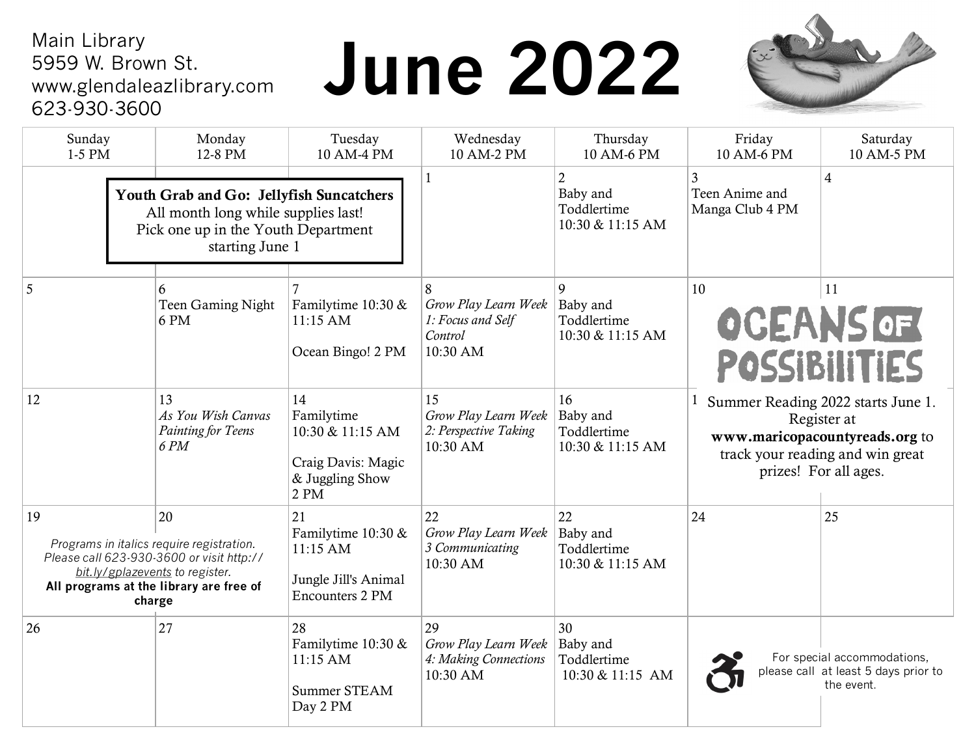#### Main Library 5959 W. Brown St. www.glendaleazlibrary.com 623-930-3600

# **June 2022**



| Sunday<br>1-5 PM                                                                                                                          | Monday<br>12-8 PM                                                                                                                                                                    | Tuesday<br>10 AM-4 PM                                                                  | Wednesday<br>10 AM-2 PM                                               | Thursday<br>10 AM-6 PM                                        | Friday<br>10 AM-6 PM                                                                                                                             | Saturday<br>10 AM-5 PM                                                            |
|-------------------------------------------------------------------------------------------------------------------------------------------|--------------------------------------------------------------------------------------------------------------------------------------------------------------------------------------|----------------------------------------------------------------------------------------|-----------------------------------------------------------------------|---------------------------------------------------------------|--------------------------------------------------------------------------------------------------------------------------------------------------|-----------------------------------------------------------------------------------|
| Youth Grab and Go: Jellyfish Suncatchers<br>All month long while supplies last!<br>Pick one up in the Youth Department<br>starting June 1 |                                                                                                                                                                                      |                                                                                        | 1                                                                     | $\overline{2}$<br>Baby and<br>Toddlertime<br>10:30 & 11:15 AM | 3<br>Teen Anime and<br>Manga Club 4 PM                                                                                                           | $\overline{4}$                                                                    |
| 5                                                                                                                                         | 6<br>Teen Gaming Night<br>6 PM                                                                                                                                                       | Familytime 10:30 &<br>$11:15$ AM<br>Ocean Bingo! 2 PM                                  | 8<br>Grow Play Learn Week<br>1: Focus and Self<br>Control<br>10:30 AM | 9<br>Baby and<br>Toddlertime<br>10:30 & 11:15 AM              | 10                                                                                                                                               | 11<br><b>OCEANS OF</b><br>POSSIBILITIES                                           |
| 12                                                                                                                                        | 13<br>As You Wish Canvas<br>Painting for Teens<br>6 PM                                                                                                                               | 14<br>Familytime<br>10:30 & 11:15 AM<br>Craig Davis: Magic<br>& Juggling Show<br>2 PM  | 15<br>Grow Play Learn Week<br>2: Perspective Taking<br>10:30 AM       | 16<br>Baby and<br>Toddlertime<br>10:30 & 11:15 AM             | Summer Reading 2022 starts June 1.<br>Register at<br>www.maricopacountyreads.org to<br>track your reading and win great<br>prizes! For all ages. |                                                                                   |
| 19                                                                                                                                        | 20<br>Programs in italics require registration.<br>Please call 623-930-3600 or visit http://<br>bit.ly/gplazevents to register.<br>All programs at the library are free of<br>charge | 21<br>Familytime 10:30 &<br>11:15 AM<br>Jungle Jill's Animal<br><b>Encounters 2 PM</b> | 22<br>Grow Play Learn Week<br>3 Communicating<br>10:30 AM             | 22<br>Baby and<br>Toddlertime<br>10:30 & 11:15 AM             | 24                                                                                                                                               | 25                                                                                |
| 26                                                                                                                                        | 27                                                                                                                                                                                   | 28<br>Familytime 10:30 &<br>11:15 AM<br>Summer STEAM<br>Day 2 PM                       | 29<br>Grow Play Learn Week<br>4: Making Connections<br>10:30 AM       | 30<br>Baby and<br>Toddlertime<br>10:30 & 11:15 AM             |                                                                                                                                                  | For special accommodations,<br>please call at least 5 days prior to<br>the event. |